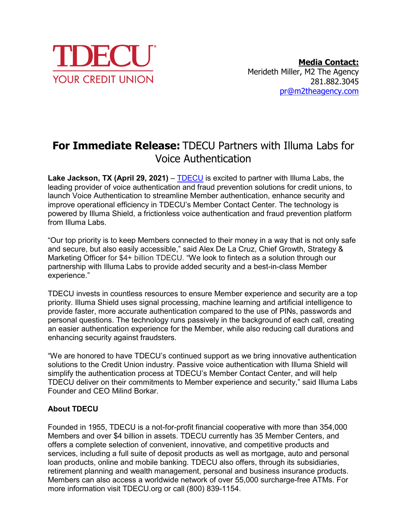

## **For Immediate Release:** TDECU Partners with Illuma Labs for Voice Authentication

**Lake Jackson, TX (April 29, 2021)** – [TDECU](https://www.tdecu.org/) is excited to partner with Illuma Labs, the leading provider of voice authentication and fraud prevention solutions for credit unions, to launch Voice Authentication to streamline Member authentication, enhance security and improve operational efficiency in TDECU's Member Contact Center. The technology is powered by Illuma Shield, a frictionless voice authentication and fraud prevention platform from Illuma Labs.

"Our top priority is to keep Members connected to their money in a way that is not only safe and secure, but also easily accessible," said Alex De La Cruz, Chief Growth, Strategy & Marketing Officer for \$4+ billion TDECU. "We look to fintech as a solution through our partnership with Illuma Labs to provide added security and a best-in-class Member experience."

TDECU invests in countless resources to ensure Member experience and security are a top priority. Illuma Shield uses signal processing, machine learning and artificial intelligence to provide faster, more accurate authentication compared to the use of PINs, passwords and personal questions. The technology runs passively in the background of each call, creating an easier authentication experience for the Member, while also reducing call durations and enhancing security against fraudsters.

"We are honored to have TDECU's continued support as we bring innovative authentication solutions to the Credit Union industry. Passive voice authentication with Illuma Shield will simplify the authentication process at TDECU's Member Contact Center, and will help TDECU deliver on their commitments to Member experience and security," said Illuma Labs Founder and CEO Milind Borkar.

## **About TDECU**

Founded in 1955, TDECU is a not-for-profit financial cooperative with more than 354,000 Members and over \$4 billion in assets. TDECU currently has 35 Member Centers, and offers a complete selection of convenient, innovative, and competitive products and services, including a full suite of deposit products as well as mortgage, auto and personal loan products, online and mobile banking. TDECU also offers, through its subsidiaries, retirement planning and wealth management, personal and business insurance products. Members can also access a worldwide network of over 55,000 surcharge-free ATMs. For more information visit TDECU.org or call (800) 839-1154.